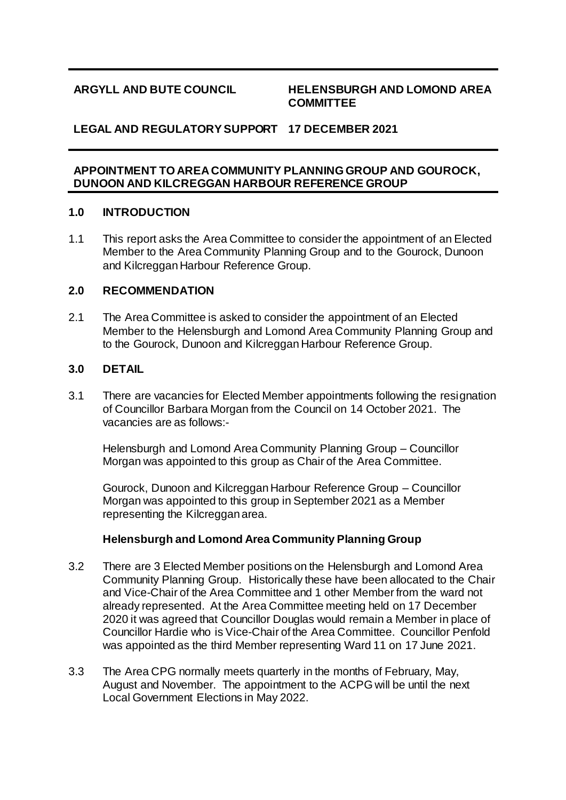#### **ARGYLL AND BUTE COUNCIL HELENSBURGH AND LOMOND AREA COMMITTEE**

# **LEGAL AND REGULATORY SUPPORT 17 DECEMBER 2021**

#### **APPOINTMENT TO AREA COMMUNITY PLANNING GROUP AND GOUROCK, DUNOON AND KILCREGGAN HARBOUR REFERENCE GROUP**

#### **1.0 INTRODUCTION**

1.1 This report asks the Area Committee to consider the appointment of an Elected Member to the Area Community Planning Group and to the Gourock, Dunoon and Kilcreggan Harbour Reference Group.

### **2.0 RECOMMENDATION**

2.1 The Area Committee is asked to consider the appointment of an Elected Member to the Helensburgh and Lomond Area Community Planning Group and to the Gourock, Dunoon and Kilcreggan Harbour Reference Group.

#### **3.0 DETAIL**

3.1 There are vacancies for Elected Member appointments following the resignation of Councillor Barbara Morgan from the Council on 14 October 2021. The vacancies are as follows:-

Helensburgh and Lomond Area Community Planning Group – Councillor Morgan was appointed to this group as Chair of the Area Committee.

Gourock, Dunoon and Kilcreggan Harbour Reference Group – Councillor Morgan was appointed to this group in September 2021 as a Member representing the Kilcreggan area.

### **Helensburgh and Lomond Area Community Planning Group**

- 3.2 There are 3 Elected Member positions on the Helensburgh and Lomond Area Community Planning Group. Historically these have been allocated to the Chair and Vice-Chair of the Area Committee and 1 other Member from the ward not already represented. At the Area Committee meeting held on 17 December 2020 it was agreed that Councillor Douglas would remain a Member in place of Councillor Hardie who is Vice-Chair of the Area Committee. Councillor Penfold was appointed as the third Member representing Ward 11 on 17 June 2021.
- 3.3 The Area CPG normally meets quarterly in the months of February, May, August and November. The appointment to the ACPG will be until the next Local Government Elections in May 2022.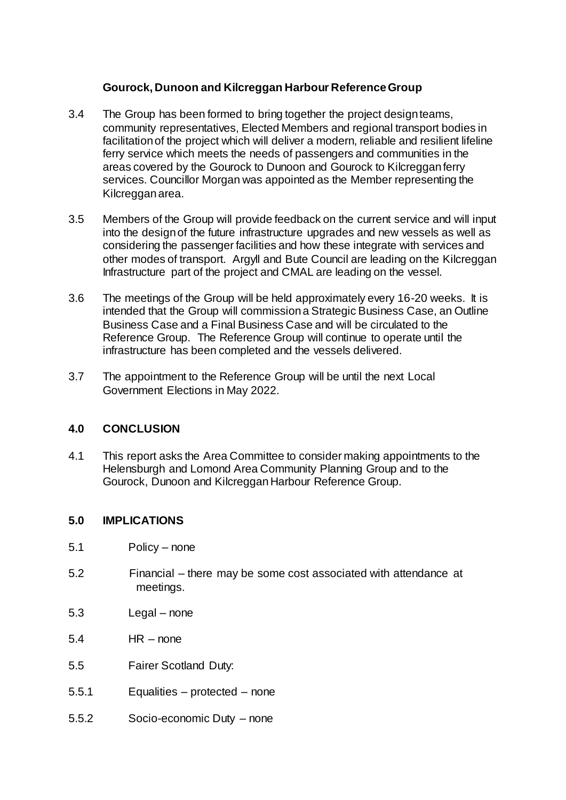# **Gourock, Dunoon and Kilcreggan Harbour Reference Group**

- 3.4 The Group has been formed to bring together the project design teams, community representatives, Elected Members and regional transport bodies in facilitation of the project which will deliver a modern, reliable and resilient lifeline ferry service which meets the needs of passengers and communities in the areas covered by the Gourock to Dunoon and Gourock to Kilcreggan ferry services. Councillor Morgan was appointed as the Member representing the Kilcreggan area.
- 3.5 Members of the Group will provide feedback on the current service and will input into the design of the future infrastructure upgrades and new vessels as well as considering the passenger facilities and how these integrate with services and other modes of transport. Argyll and Bute Council are leading on the Kilcreggan Infrastructure part of the project and CMAL are leading on the vessel.
- 3.6 The meetings of the Group will be held approximately every 16-20 weeks. It is intended that the Group will commission a Strategic Business Case, an Outline Business Case and a Final Business Case and will be circulated to the Reference Group. The Reference Group will continue to operate until the infrastructure has been completed and the vessels delivered.
- 3.7 The appointment to the Reference Group will be until the next Local Government Elections in May 2022.

### **4.0 CONCLUSION**

4.1 This report asks the Area Committee to consider making appointments to the Helensburgh and Lomond Area Community Planning Group and to the Gourock, Dunoon and KilcregganHarbour Reference Group.

### **5.0 IMPLICATIONS**

- 5.1 Policy none
- 5.2 Financial there may be some cost associated with attendance at meetings.
- 5.3 Legal none
- 5.4 HR none
- 5.5 Fairer Scotland Duty:
- 5.5.1 Equalities protected none
- 5.5.2 Socio-economic Duty none